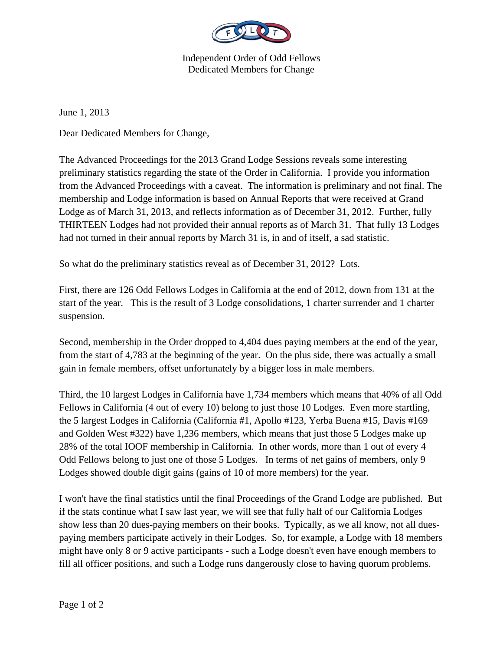

Independent Order of Odd Fellows Dedicated Members for Change

June 1, 2013

Dear Dedicated Members for Change,

The Advanced Proceedings for the 2013 Grand Lodge Sessions reveals some interesting preliminary statistics regarding the state of the Order in California. I provide you information from the Advanced Proceedings with a caveat. The information is preliminary and not final. The membership and Lodge information is based on Annual Reports that were received at Grand Lodge as of March 31, 2013, and reflects information as of December 31, 2012. Further, fully THIRTEEN Lodges had not provided their annual reports as of March 31. That fully 13 Lodges had not turned in their annual reports by March 31 is, in and of itself, a sad statistic.

So what do the preliminary statistics reveal as of December 31, 2012? Lots.

First, there are 126 Odd Fellows Lodges in California at the end of 2012, down from 131 at the start of the year. This is the result of 3 Lodge consolidations, 1 charter surrender and 1 charter suspension.

Second, membership in the Order dropped to 4,404 dues paying members at the end of the year, from the start of 4,783 at the beginning of the year. On the plus side, there was actually a small gain in female members, offset unfortunately by a bigger loss in male members.

Third, the 10 largest Lodges in California have 1,734 members which means that 40% of all Odd Fellows in California (4 out of every 10) belong to just those 10 Lodges. Even more startling, the 5 largest Lodges in California (California #1, Apollo #123, Yerba Buena #15, Davis #169 and Golden West #322) have 1,236 members, which means that just those 5 Lodges make up 28% of the total IOOF membership in California. In other words, more than 1 out of every 4 Odd Fellows belong to just one of those 5 Lodges. In terms of net gains of members, only 9 Lodges showed double digit gains (gains of 10 of more members) for the year.

I won't have the final statistics until the final Proceedings of the Grand Lodge are published. But if the stats continue what I saw last year, we will see that fully half of our California Lodges show less than 20 dues-paying members on their books. Typically, as we all know, not all duespaying members participate actively in their Lodges. So, for example, a Lodge with 18 members might have only 8 or 9 active participants - such a Lodge doesn't even have enough members to fill all officer positions, and such a Lodge runs dangerously close to having quorum problems.